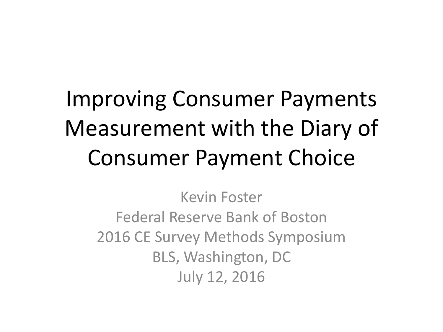## Improving Consumer Payments Measurement with the Diary of Consumer Payment Choice

Kevin Foster Federal Reserve Bank of Boston 2016 CE Survey Methods Symposium BLS, Washington, DC July 12, 2016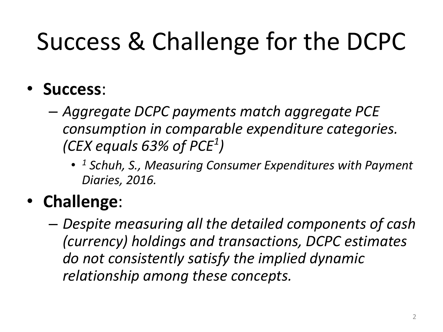# Success & Challenge for the DCPC

- **Success**:
	- *Aggregate DCPC payments match aggregate PCE consumption in comparable expenditure categories. (CEX equals 63% of PCE<sup>1</sup> )*
		- *<sup>1</sup> Schuh, S., Measuring Consumer Expenditures with Payment Diaries, 2016.*

### • **Challenge**:

– *Despite measuring all the detailed components of cash (currency) holdings and transactions, DCPC estimates do not consistently satisfy the implied dynamic relationship among these concepts.*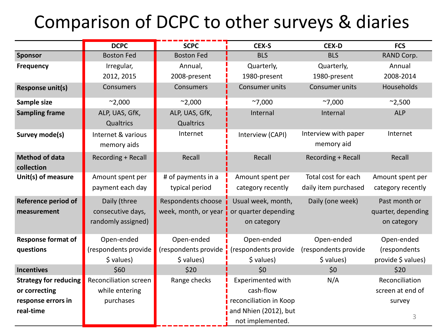### Comparison of DCPC to other surveys & diaries

|                                           | <b>DCPC</b>                                             | <b>SCPC</b>                                | CEX-S                                                     | <b>CEX-D</b>                                | <b>FCS</b>                                         |
|-------------------------------------------|---------------------------------------------------------|--------------------------------------------|-----------------------------------------------------------|---------------------------------------------|----------------------------------------------------|
| <b>Sponsor</b>                            | <b>Boston Fed</b>                                       | <b>Boston Fed</b>                          | <b>BLS</b>                                                | <b>BLS</b>                                  | RAND Corp.                                         |
| <b>Frequency</b>                          | Irregular,                                              | Annual,                                    | Quarterly,                                                | Quarterly,                                  | Annual                                             |
|                                           | 2012, 2015                                              | 2008-present                               | 1980-present                                              | 1980-present                                | 2008-2014                                          |
| <b>Response unit(s)</b>                   | Consumers                                               | Consumers                                  | Consumer units                                            | Consumer units                              | Households                                         |
| Sample size                               | $^{\sim}$ 2,000                                         | $^{\sim}$ 2,000                            | ~7,000                                                    | ~7,000                                      | $^{\sim}$ 2,500                                    |
| <b>Sampling frame</b>                     | ALP, UAS, GfK,<br>Qualtrics                             | ALP, UAS, GfK,<br>Qualtrics                | Internal                                                  | Internal                                    | <b>ALP</b>                                         |
| Survey mode(s)                            | Internet & various<br>memory aids                       | Internet                                   | Interview (CAPI)                                          | Interview with paper<br>memory aid          | Internet                                           |
| <b>Method of data</b><br>collection       | Recording + Recall                                      | Recall                                     | Recall                                                    | Recording + Recall                          | Recall                                             |
| Unit(s) of measure                        | Amount spent per<br>payment each day                    | # of payments in a<br>typical period       | Amount spent per<br>category recently                     | Total cost for each<br>daily item purchased | Amount spent per<br>category recently              |
| <b>Reference period of</b><br>measurement | Daily (three<br>consecutive days,<br>randomly assigned) | Respondents choose<br>week, month, or year | Usual week, month,<br>or quarter depending<br>on category | Daily (one week)                            | Past month or<br>quarter, depending<br>on category |
| <b>Response format of</b>                 | Open-ended                                              | Open-ended                                 | Open-ended                                                | Open-ended                                  | Open-ended                                         |
| questions                                 | (respondents provide                                    | (respondents provide                       | (respondents provide                                      | (respondents provide                        | (respondents                                       |
|                                           | \$ values)                                              | \$ values)                                 | \$ values)                                                | \$ values)                                  | provide \$ values)                                 |
| <b>Incentives</b>                         | \$60                                                    | \$20                                       | \$0                                                       | \$0                                         | \$20                                               |
| <b>Strategy for reducing</b>              | Reconciliation screen                                   | Range checks                               | <b>Experimented with</b>                                  | N/A                                         | Reconciliation                                     |
| or correcting                             | while entering                                          |                                            | cash-flow                                                 |                                             | screen at end of                                   |
| response errors in                        | purchases                                               |                                            | reconciliation in Koop                                    |                                             | survey                                             |
| real-time                                 |                                                         |                                            | and Nhien (2012), but                                     |                                             |                                                    |
|                                           |                                                         |                                            | not implemented.                                          |                                             | 3                                                  |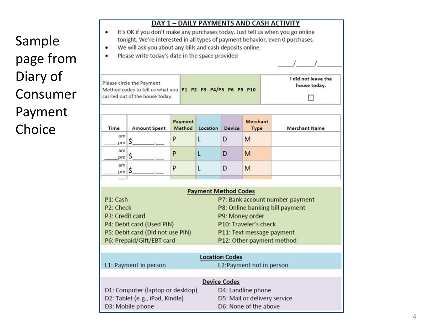### Sample page from Diary of Consumer Payment Choice

| I did not leave the<br>Please circle the Payment<br>house today.<br>Method codes to tell us what you P1 P2 P3 P4/P5 P6 P9 P10<br>carried out of the house today.<br>Payment<br><b>Merchant</b><br>Method<br><b>Time</b><br>Location<br><b>Device</b><br><b>Merchant Name</b><br><b>Amount Spent</b><br><b>Type</b><br>am<br>P<br>L<br>D<br>M<br>\$<br>pm<br>am<br>L<br>P<br>D<br>M<br>\$<br>pm  <br>am<br>L<br>P<br>M<br>D<br>\$<br>pm<br><b>Payment Method Codes</b><br>P1: Cash<br>P7: Bank account number payment<br>P2: Check<br>P8: Online banking bill payment<br>P3: Credit card<br>P9: Money order<br>P4: Debit card (Used PIN)<br>P10: Traveler's check<br>P5: Debit card (Did not use PIN)<br>P11: Text message payment<br>P6: Prepaid/Gift/EBT card<br>P12: Other payment method<br><b>Location Codes</b><br>L2:Payment not in person<br>L1: Payment in person<br><b>Device Codes</b><br>D4: Landline phone<br>D5: Mail or delivery service<br>D2: Tablet (e.g., iPad, Kindle) |                                  | Please write today's date in the space provided |  |  |  |  |  |
|-------------------------------------------------------------------------------------------------------------------------------------------------------------------------------------------------------------------------------------------------------------------------------------------------------------------------------------------------------------------------------------------------------------------------------------------------------------------------------------------------------------------------------------------------------------------------------------------------------------------------------------------------------------------------------------------------------------------------------------------------------------------------------------------------------------------------------------------------------------------------------------------------------------------------------------------------------------------------------------------|----------------------------------|-------------------------------------------------|--|--|--|--|--|
|                                                                                                                                                                                                                                                                                                                                                                                                                                                                                                                                                                                                                                                                                                                                                                                                                                                                                                                                                                                           |                                  |                                                 |  |  |  |  |  |
|                                                                                                                                                                                                                                                                                                                                                                                                                                                                                                                                                                                                                                                                                                                                                                                                                                                                                                                                                                                           |                                  |                                                 |  |  |  |  |  |
|                                                                                                                                                                                                                                                                                                                                                                                                                                                                                                                                                                                                                                                                                                                                                                                                                                                                                                                                                                                           |                                  |                                                 |  |  |  |  |  |
|                                                                                                                                                                                                                                                                                                                                                                                                                                                                                                                                                                                                                                                                                                                                                                                                                                                                                                                                                                                           |                                  |                                                 |  |  |  |  |  |
|                                                                                                                                                                                                                                                                                                                                                                                                                                                                                                                                                                                                                                                                                                                                                                                                                                                                                                                                                                                           |                                  |                                                 |  |  |  |  |  |
|                                                                                                                                                                                                                                                                                                                                                                                                                                                                                                                                                                                                                                                                                                                                                                                                                                                                                                                                                                                           |                                  |                                                 |  |  |  |  |  |
|                                                                                                                                                                                                                                                                                                                                                                                                                                                                                                                                                                                                                                                                                                                                                                                                                                                                                                                                                                                           |                                  |                                                 |  |  |  |  |  |
|                                                                                                                                                                                                                                                                                                                                                                                                                                                                                                                                                                                                                                                                                                                                                                                                                                                                                                                                                                                           |                                  |                                                 |  |  |  |  |  |
|                                                                                                                                                                                                                                                                                                                                                                                                                                                                                                                                                                                                                                                                                                                                                                                                                                                                                                                                                                                           |                                  |                                                 |  |  |  |  |  |
|                                                                                                                                                                                                                                                                                                                                                                                                                                                                                                                                                                                                                                                                                                                                                                                                                                                                                                                                                                                           |                                  |                                                 |  |  |  |  |  |
|                                                                                                                                                                                                                                                                                                                                                                                                                                                                                                                                                                                                                                                                                                                                                                                                                                                                                                                                                                                           |                                  |                                                 |  |  |  |  |  |
|                                                                                                                                                                                                                                                                                                                                                                                                                                                                                                                                                                                                                                                                                                                                                                                                                                                                                                                                                                                           |                                  |                                                 |  |  |  |  |  |
|                                                                                                                                                                                                                                                                                                                                                                                                                                                                                                                                                                                                                                                                                                                                                                                                                                                                                                                                                                                           |                                  |                                                 |  |  |  |  |  |
|                                                                                                                                                                                                                                                                                                                                                                                                                                                                                                                                                                                                                                                                                                                                                                                                                                                                                                                                                                                           |                                  |                                                 |  |  |  |  |  |
|                                                                                                                                                                                                                                                                                                                                                                                                                                                                                                                                                                                                                                                                                                                                                                                                                                                                                                                                                                                           | D1: Computer (laptop or desktop) |                                                 |  |  |  |  |  |
| D6: None of the above<br>D3: Mobile phone                                                                                                                                                                                                                                                                                                                                                                                                                                                                                                                                                                                                                                                                                                                                                                                                                                                                                                                                                 |                                  |                                                 |  |  |  |  |  |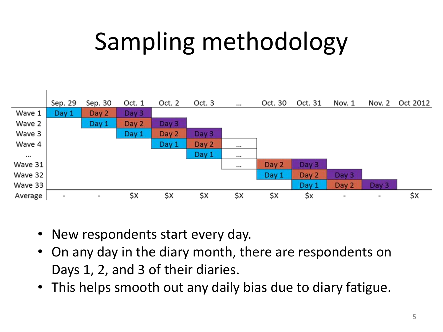# Sampling methodology



- New respondents start every day.
- On any day in the diary month, there are respondents on Days 1, 2, and 3 of their diaries.
- This helps smooth out any daily bias due to diary fatigue.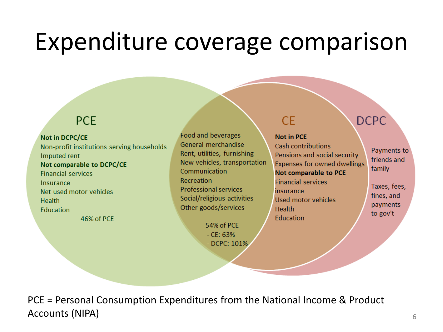### Expenditure coverage comparison

### **PCE**

#### Not in DCPC/CE

Non-profit institutions serving households Imputed rent Not comparable to DCPC/CE **Financial services** Insurance Net used motor vehicles Health Education

46% of PCE

Food and beverages General merchandise Rent, utilities, furnishing New vehicles, transportation Communication Recreation **Professional services** Social/religious activities Other goods/services

> 54% of PCE  $-$  CF: 63%  $-$  DCPC: 101%

### **CE**

#### **Not in PCE**

**Cash contributions** Pensions and social security Expenses for owned dwellings **Not comparable to PCE Financial services** insurance Used motor vehicles **Health Education** 

Payments to friends and family

**DCPC** 

Taxes, fees, fines, and payments to gov't

PCE = Personal Consumption Expenditures from the National Income & Product Accounts (NIPA) and the set of the set of the set of the set of the set of the set of the set of the set of the set of the set of the set of the set of the set of the set of the set of the set of the set of the set of the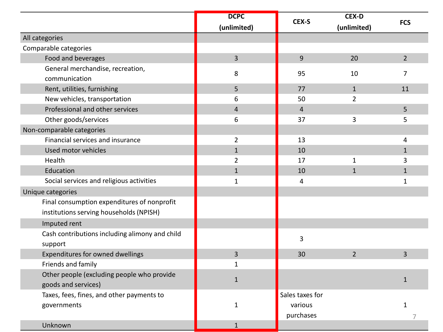|                                                | <b>DCPC</b>    | CEX-S           | <b>CEX-D</b>   | <b>FCS</b>     |
|------------------------------------------------|----------------|-----------------|----------------|----------------|
|                                                | (unlimited)    |                 | (unlimited)    |                |
| All categories                                 |                |                 |                |                |
| Comparable categories                          |                |                 |                |                |
| Food and beverages                             | $\overline{3}$ | 9               | 20             | $\overline{2}$ |
| General merchandise, recreation,               | 8              | 95              | 10             | $\overline{7}$ |
| communication                                  |                |                 |                |                |
| Rent, utilities, furnishing                    | 5              | 77              | $\mathbf{1}$   | 11             |
| New vehicles, transportation                   | 6              | 50              | $\overline{2}$ |                |
| Professional and other services                | $\overline{4}$ | $\overline{4}$  |                | 5              |
| Other goods/services                           | 6              | 37              | 3              | 5              |
| Non-comparable categories                      |                |                 |                |                |
| Financial services and insurance               | $\overline{2}$ | 13              |                | 4              |
| Used motor vehicles                            | $\mathbf{1}$   | 10              |                | $\mathbf{1}$   |
| Health                                         | $\overline{2}$ | 17              | $\mathbf{1}$   | 3              |
| Education                                      | $\mathbf{1}$   | 10              | $\overline{1}$ | $\mathbf{1}$   |
| Social services and religious activities       | $\mathbf{1}$   | 4               |                | $\mathbf{1}$   |
| Unique categories                              |                |                 |                |                |
| Final consumption expenditures of nonprofit    |                |                 |                |                |
| institutions serving households (NPISH)        |                |                 |                |                |
| Imputed rent                                   |                |                 |                |                |
| Cash contributions including alimony and child |                |                 |                |                |
| support                                        |                | $\overline{3}$  |                |                |
| Expenditures for owned dwellings               | $\overline{3}$ | 30              | $\overline{2}$ | $\overline{3}$ |
| Friends and family                             | 1              |                 |                |                |
| Other people (excluding people who provide     |                |                 |                |                |
| goods and services)                            | $\mathbf{1}$   |                 |                | $\mathbf{1}$   |
| Taxes, fees, fines, and other payments to      |                | Sales taxes for |                |                |
| governments                                    | $\mathbf{1}$   | various         |                | $\mathbf{1}$   |
|                                                |                | purchases       |                |                |
| Unknown                                        | $\mathbf{1}$   |                 |                |                |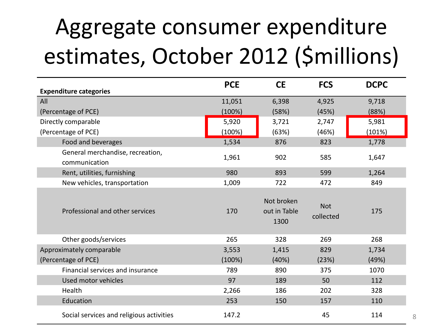## Aggregate consumer expenditure estimates, October 2012 (\$millions)

| <b>Expenditure categories</b>                     | <b>PCE</b> | <b>CE</b>                          | <b>FCS</b>              | <b>DCPC</b> |
|---------------------------------------------------|------------|------------------------------------|-------------------------|-------------|
| All                                               | 11,051     | 6,398                              | 4,925                   | 9,718       |
| (Percentage of PCE)                               | (100%)     | (58%)                              | (45%)                   | (88%)       |
| Directly comparable                               | 5,920      | 3,721                              | 2,747                   | 5,981       |
| (Percentage of PCE)                               | (100%)     | (63%)                              | (46%)                   | (101%)      |
| Food and beverages                                | 1,534      | 876                                | 823                     | 1,778       |
| General merchandise, recreation,<br>communication | 1,961      | 902                                | 585                     | 1,647       |
| Rent, utilities, furnishing                       | 980        | 893                                | 599                     | 1,264       |
| New vehicles, transportation                      | 1,009      | 722                                | 472                     | 849         |
| Professional and other services                   | 170        | Not broken<br>out in Table<br>1300 | <b>Not</b><br>collected | 175         |
| Other goods/services                              | 265        | 328                                | 269                     | 268         |
| Approximately comparable                          | 3,553      | 1,415                              | 829                     | 1,734       |
| (Percentage of PCE)                               | (100%)     | (40%)                              | (23%)                   | (49%)       |
| Financial services and insurance                  | 789        | 890                                | 375                     | 1070        |
| Used motor vehicles                               | 97         | 189                                | 50                      | 112         |
| Health                                            | 2,266      | 186                                | 202                     | 328         |
| Education                                         | 253        | 150                                | 157                     | 110         |
| Social services and religious activities          | 147.2      |                                    | 45                      | 114         |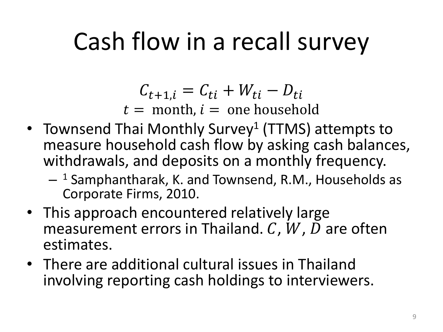### Cash flow in a recall survey

 $C_{t+1,i} = C_{ti} + W_{ti} - D_{ti}$  $t =$  month,  $i =$  one household

- Townsend Thai Monthly Survey<sup>1</sup> (TTMS) attempts to measure household cash flow by asking cash balances, withdrawals, and deposits on a monthly frequency.
	- <sup>1</sup> Samphantharak, K. and Townsend, R.M., Households as Corporate Firms, 2010.
- This approach encountered relatively large measurement errors in Thailand.  $C$ ,  $W$ ,  $D$  are often estimates.
- There are additional cultural issues in Thailand involving reporting cash holdings to interviewers.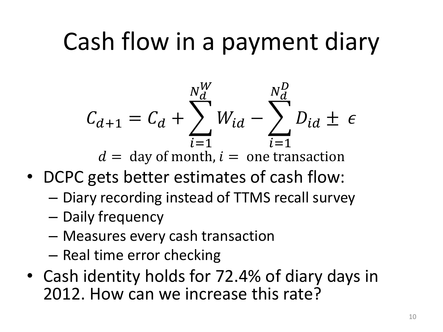## Cash flow in a payment diary

$$
C_{d+1} = C_d + \sum_{i=1}^{N_d^W} W_{id} - \sum_{i=1}^{N_d^D} D_{id} \pm \epsilon
$$

 $d =$  day of month,  $l =$  one transaction

- DCPC gets better estimates of cash flow:
	- Diary recording instead of TTMS recall survey
	- Daily frequency
	- Measures every cash transaction
	- Real time error checking
- Cash identity holds for 72.4% of diary days in 2012. How can we increase this rate?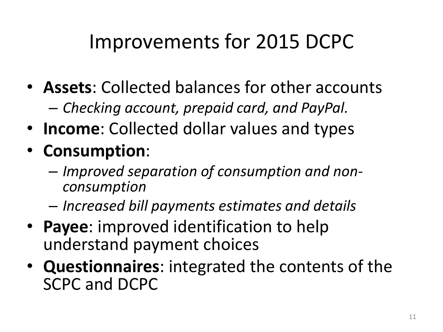### Improvements for 2015 DCPC

- **Assets**: Collected balances for other accounts – *Checking account, prepaid card, and PayPal.*
- **Income**: Collected dollar values and types
- **Consumption**:
	- *Improved separation of consumption and nonconsumption*
	- *Increased bill payments estimates and details*
- **Payee**: improved identification to help understand payment choices
- **Questionnaires**: integrated the contents of the SCPC and DCPC